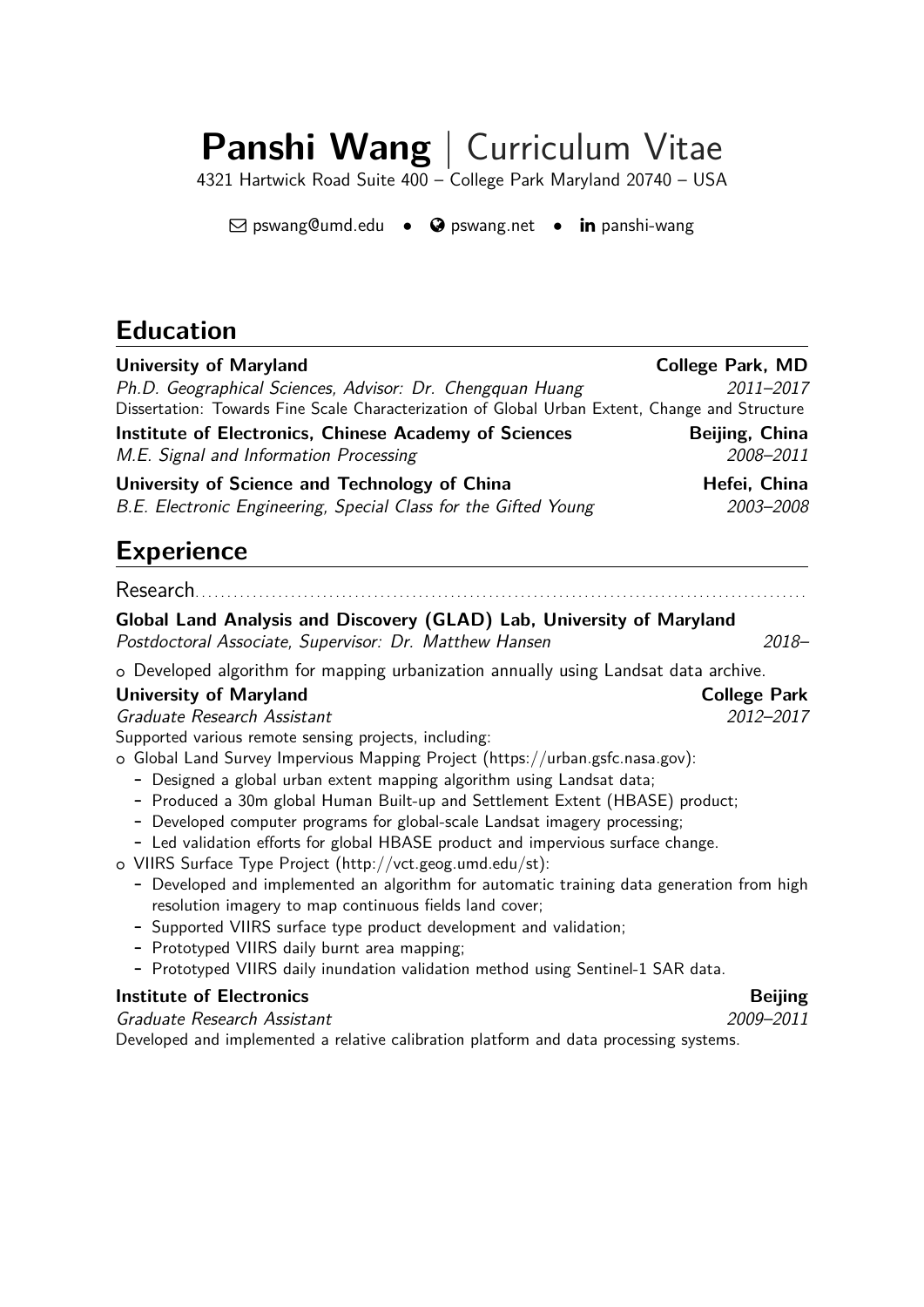# **Panshi Wang** | Curriculum Vitae

4321 Hartwick Road Suite 400 – College Park Maryland 20740 – USA

 $\boxdot$  [pswang@umd.edu](mailto:pswang@umd.edu) •  $\odot$  [pswang.net](http://pswang.net) • in [panshi-wang](http://www.linkedin.com/in/panshi-wang)

# **Education**

| <b>University of Maryland</b>                                                                                                                               | <b>College Park, MD</b> |
|-------------------------------------------------------------------------------------------------------------------------------------------------------------|-------------------------|
| Ph.D. Geographical Sciences, Advisor: Dr. Chengquan Huang<br>Dissertation: Towards Fine Scale Characterization of Global Urban Extent, Change and Structure | 2011-2017               |
|                                                                                                                                                             |                         |
| <b>Institute of Electronics, Chinese Academy of Sciences</b>                                                                                                | Beijing, China          |
| M.E. Signal and Information Processing                                                                                                                      | 2008-2011               |
| University of Science and Technology of China                                                                                                               | Hefei, China            |
| B.E. Electronic Engineering, Special Class for the Gifted Young                                                                                             | 2003-2008               |
| <b>Experience</b>                                                                                                                                           |                         |
| Research.                                                                                                                                                   |                         |
| Global Land Analysis and Discovery (GLAD) Lab, University of Maryland                                                                                       |                         |
| Postdoctoral Associate, Supervisor: Dr. Matthew Hansen                                                                                                      | $2018 -$                |
| o Developed algorithm for mapping urbanization annually using Landsat data archive.                                                                         |                         |
| <b>University of Maryland</b>                                                                                                                               | <b>College Park</b>     |
| Graduate Research Assistant                                                                                                                                 | 2012-2017               |
| Supported various remote sensing projects, including:                                                                                                       |                         |
| o Global Land Survey Impervious Mapping Project (https://urban.gsfc.nasa.gov):                                                                              |                         |
| - Designed a global urban extent mapping algorithm using Landsat data;                                                                                      |                         |
| - Produced a 30m global Human Built-up and Settlement Extent (HBASE) product;                                                                               |                         |
| - Developed computer programs for global-scale Landsat imagery processing;                                                                                  |                         |
| - Led validation efforts for global HBASE product and impervious surface change.                                                                            |                         |
| o VIIRS Surface Type Project (http://vct.geog.umd.edu/st):<br>- Developed and implemented an algorithm for automatic training data generation from high     |                         |
| resolution imagery to map continuous fields land cover;                                                                                                     |                         |
| - Supported VIIRS surface type product development and validation;                                                                                          |                         |
| - Prototyped VIIRS daily burnt area mapping;                                                                                                                |                         |
| - Prototyped VIIRS daily inundation validation method using Sentinel-1 SAR data.                                                                            |                         |
| <b>Institute of Electronics</b>                                                                                                                             | <b>Beijing</b>          |
| Graduate Research Assistant                                                                                                                                 | 2009-2011               |

Developed and implemented a relative calibration platform and data processing systems.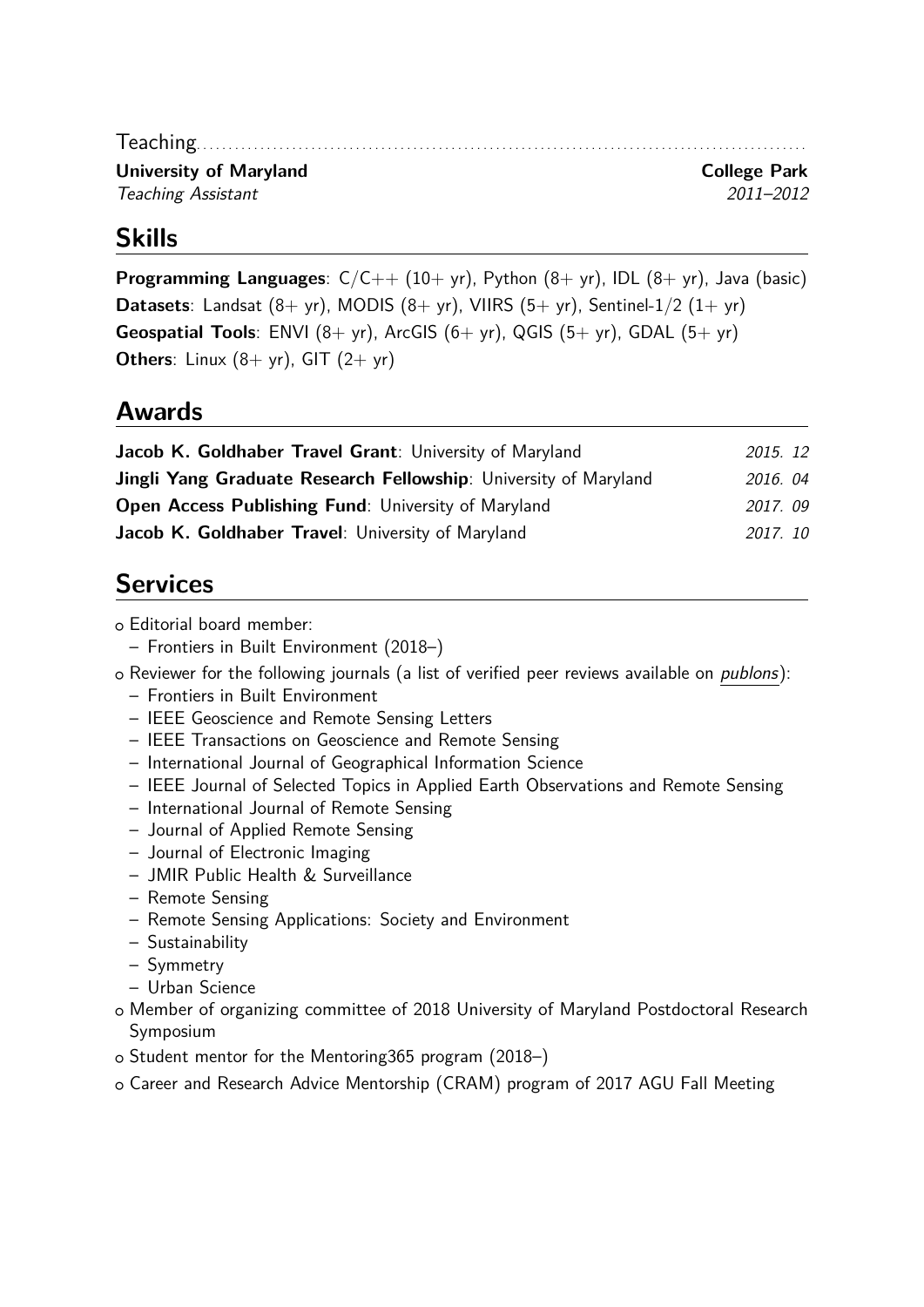Teaching. . . . . . . . . . . . . . . . . . . . . . . . . . . . . . . . . . . . . . . . . . . . . . . . . . . . . . . . . . . . . . . . . . . . . . . . . . . . . . . . . . . . . . . . . . . . . . . . **University of Maryland College Park** Teaching Assistant 2011–2012

#### **Skills**

**Programming Languages**:  $C/C++$  (10+ yr), Python (8+ yr), IDL (8+ yr), Java (basic) **Datasets**: Landsat  $(8 + yr)$ , MODIS  $(8 + yr)$ , VIIRS  $(5 + yr)$ , Sentinel-1/2  $(1 + yr)$ **Geospatial Tools**: ENVI (8+ yr), ArcGIS (6+ yr), QGIS (5+ yr), GDAL (5+ yr) **Others**: Linux  $(8 + yr)$ , GIT  $(2 + yr)$ 

#### **Awards**

| 2015. 12 |  |
|----------|--|
| 2016.04  |  |
| 2017.09  |  |
| 2017.10  |  |
|          |  |

### **Services**

o Editorial board member:

- Frontiers in Built Environment (2018–)
- o Reviewer for the following journals (a list of verified peer reviews available on *[publons](https://publons.com/a/1239796)*):
	- Frontiers in Built Environment
	- IEEE Geoscience and Remote Sensing Letters
	- IEEE Transactions on Geoscience and Remote Sensing
	- International Journal of Geographical Information Science
	- IEEE Journal of Selected Topics in Applied Earth Observations and Remote Sensing
	- International Journal of Remote Sensing
	- Journal of Applied Remote Sensing
	- Journal of Electronic Imaging
	- JMIR Public Health & Surveillance
	- Remote Sensing
	- Remote Sensing Applications: Society and Environment
	- Sustainability
	- Symmetry
	- Urban Science
- o Member of organizing committee of 2018 University of Maryland Postdoctoral Research Symposium
- o Student mentor for the Mentoring365 program (2018–)
- o Career and Research Advice Mentorship (CRAM) program of 2017 AGU Fall Meeting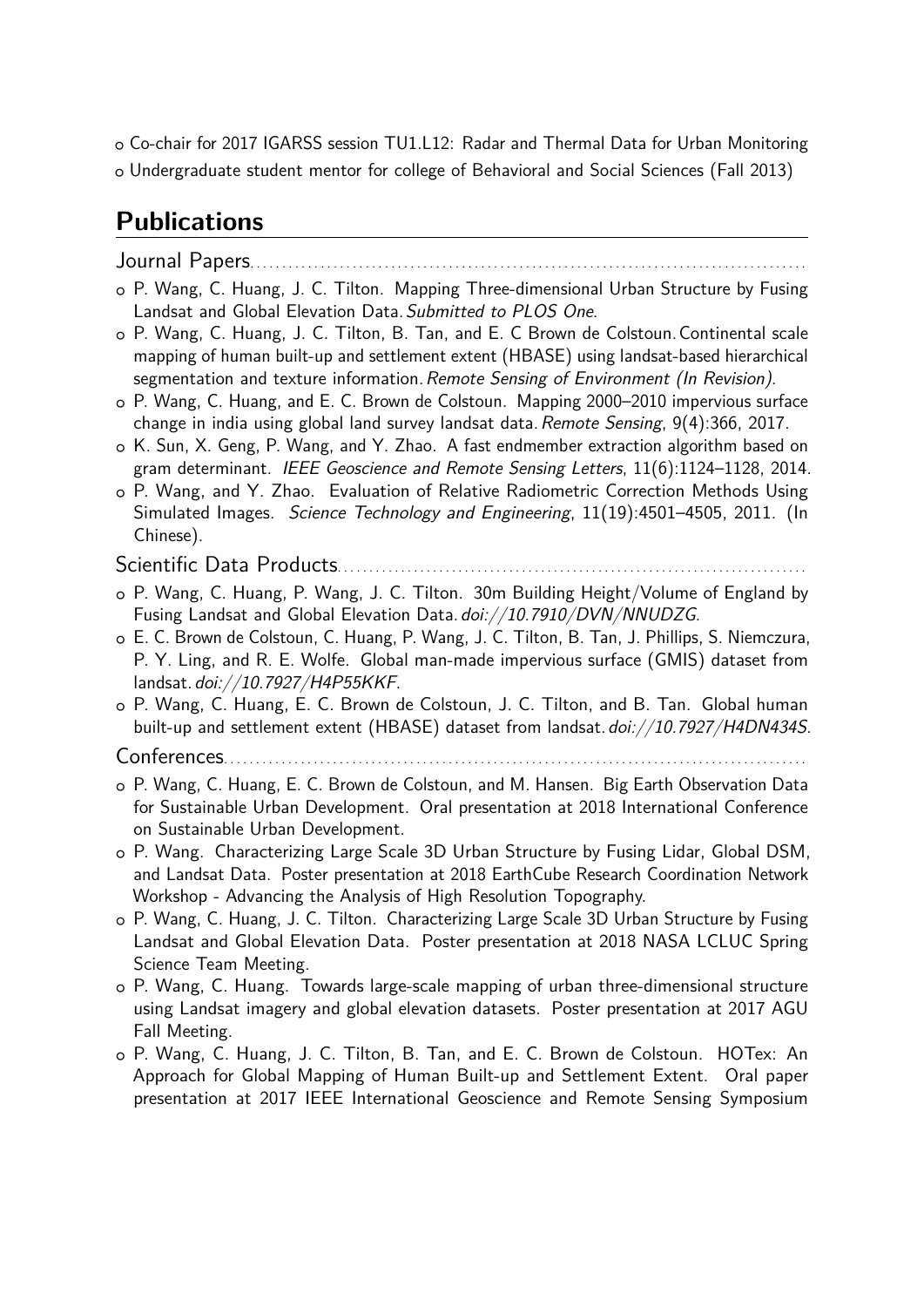o Co-chair for 2017 IGARSS session TU1.L12: Radar and Thermal Data for Urban Monitoring <sup>+</sup> Undergraduate student mentor for college of Behavioral and Social Sciences (Fall 2013)

## **Publications**

Journal Papers. . . . . . . . . . . . . . . . . . . . . . . . . . . . . . . . . . . . . . . . . . . . . . . . . . . . . . . . . . . . . . . . . . . . . . . . . . . . . . . . . . . . . . .

- o P. Wang, C. Huang, J. C. Tilton. Mapping Three-dimensional Urban Structure by Fusing Landsat and Global Elevation Data. Submitted to PLOS One.
- <sup>+</sup> P. Wang, C. Huang, J. C. Tilton, B. Tan, and E. C Brown de Colstoun.Continental scale mapping of human built-up and settlement extent (HBASE) using landsat-based hierarchical segmentation and texture information. Remote Sensing of Environment (In Revision).
- <sup>+</sup> P. Wang, C. Huang, and E. C. Brown de Colstoun. Mapping 2000–2010 impervious surface change in india using global land survey landsat data. Remote Sensing, 9(4):366, 2017.
- o K. Sun, X. Geng, P. Wang, and Y. Zhao. A fast endmember extraction algorithm based on gram determinant. IEEE Geoscience and Remote Sensing Letters, 11(6):1124–1128, 2014.
- <sup>+</sup> P. Wang, and Y. Zhao. Evaluation of Relative Radiometric Correction Methods Using Simulated Images. Science Technology and Engineering, 11(19):4501–4505, 2011. (In Chinese).

Scientific Data Products. . . . . . . . . . . . . . . . . . . . . . . . . . . . . . . . . . . . . . . . . . . . . . . . . . . . . . . . . . . . . . . . . . . . . . . . . .

- o P. Wang, C. Huang, P. Wang, J. C. Tilton. 30m Building Height/Volume of England by Fusing Landsat and Global Elevation Data. [doi://10.7910/DVN/NNUDZG](https://doi.org/10.7910/DVN/NNUDZG).
- o E. C. Brown de Colstoun, C. Huang, P. Wang, J. C. Tilton, B. Tan, J. Phillips, S. Niemczura, P. Y. Ling, and R. E. Wolfe. Global man-made impervious surface (GMIS) dataset from landsat.[doi://10.7927/H4P55KKF](https://doi.org/10.7927/H4P55KKF).
- <sup>+</sup> P. Wang, C. Huang, E. C. Brown de Colstoun, J. C. Tilton, and B. Tan. Global human built-up and settlement extent (HBASE) dataset from landsat. [doi://10.7927/H4DN434S](https://doi.org/10.7927/H4DN434S).

Conferences. . . . . . . . . . . . . . . . . . . . . . . . . . . . . . . . . . . . . . . . . . . . . . . . . . . . . . . . . . . . . . . . . . . . . . . . . . . . . . . . . . . . . . . . . . .

- o P. Wang, C. Huang, E. C. Brown de Colstoun, and M. Hansen. Big Earth Observation Data for Sustainable Urban Development. Oral presentation at 2018 International Conference on Sustainable Urban Development.
- <sup>+</sup> P. Wang. Characterizing Large Scale 3D Urban Structure by Fusing Lidar, Global DSM, and Landsat Data. Poster presentation at 2018 EarthCube Research Coordination Network Workshop - Advancing the Analysis of High Resolution Topography.
- <sup>+</sup> P. Wang, C. Huang, J. C. Tilton. Characterizing Large Scale 3D Urban Structure by Fusing Landsat and Global Elevation Data. Poster presentation at 2018 NASA LCLUC Spring Science Team Meeting.
- <sup>+</sup> P. Wang, C. Huang. Towards large-scale mapping of urban three-dimensional structure using Landsat imagery and global elevation datasets. Poster presentation at 2017 AGU Fall Meeting.
- <sup>+</sup> P. Wang, C. Huang, J. C. Tilton, B. Tan, and E. C. Brown de Colstoun. HOTex: An Approach for Global Mapping of Human Built-up and Settlement Extent. Oral paper presentation at 2017 IEEE International Geoscience and Remote Sensing Symposium